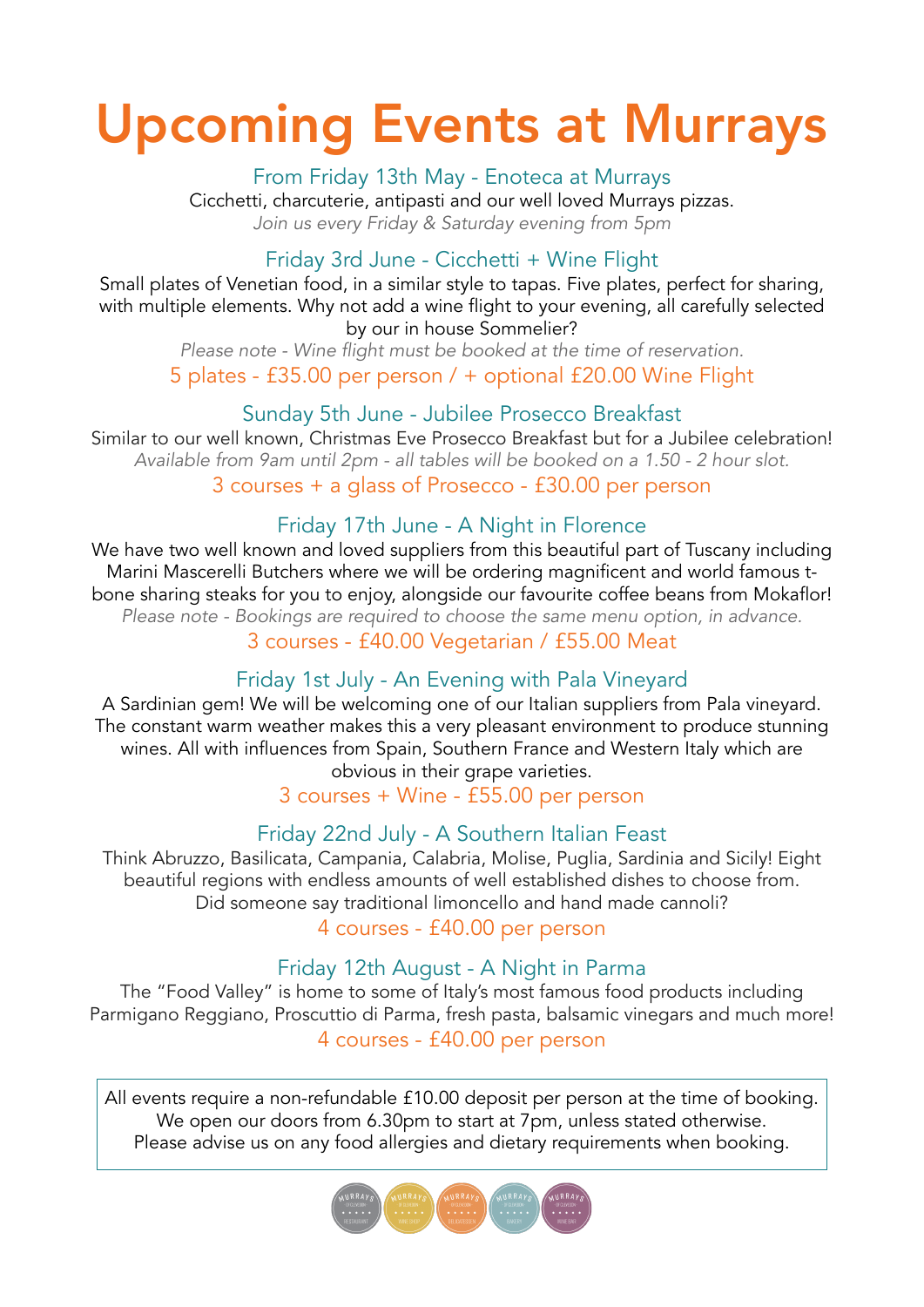# Upcoming Events at Murrays

From Friday 13th May - Enoteca at Murrays

Cicchetti, charcuterie, antipasti and our well loved Murrays pizzas. *Join us every Friday & Saturday evening from 5pm*

### Friday 3rd June - Cicchetti + Wine Flight

Small plates of Venetian food, in a similar style to tapas. Five plates, perfect for sharing, with multiple elements. Why not add a wine flight to your evening, all carefully selected by our in house Sommelier?

*Please note - Wine flight must be booked at the time of reservation.* 5 plates - £35.00 per person / + optional £20.00 Wine Flight

### Sunday 5th June - Jubilee Prosecco Breakfast

Similar to our well known, Christmas Eve Prosecco Breakfast but for a Jubilee celebration! *Available from 9am until 2pm - all tables will be booked on a 1.50 - 2 hour slot.* 3 courses + a glass of Prosecco - £30.00 per person

### Friday 17th June - A Night in Florence

We have two well known and loved suppliers from this beautiful part of Tuscany including Marini Mascerelli Butchers where we will be ordering magnificent and world famous tbone sharing steaks for you to enjoy, alongside our favourite coffee beans from Mokaflor! *Please note - Bookings are required to choose the same menu option, in advance.*

3 courses - £40.00 Vegetarian / £55.00 Meat

### Friday 1st July - An Evening with Pala Vineyard

A Sardinian gem! We will be welcoming one of our Italian suppliers from Pala vineyard. The constant warm weather makes this a very pleasant environment to produce stunning wines. All with influences from Spain, Southern France and Western Italy which are obvious in their grape varieties.

3 courses + Wine - £55.00 per person

### Friday 22nd July - A Southern Italian Feast

Think Abruzzo, Basilicata, Campania, Calabria, Molise, Puglia, Sardinia and Sicily! Eight beautiful regions with endless amounts of well established dishes to choose from. Did someone say traditional limoncello and hand made cannoli?

4 courses - £40.00 per person

### Friday 12th August - A Night in Parma

The "Food Valley" is home to some of Italy's most famous food products including Parmigano Reggiano, Proscuttio di Parma, fresh pasta, balsamic vinegars and much more! 4 courses - £40.00 per person

All events require a non-refundable £10.00 deposit per person at the time of booking. We open our doors from 6.30pm to start at 7pm, unless stated otherwise. Please advise us on any food allergies and dietary requirements when booking.